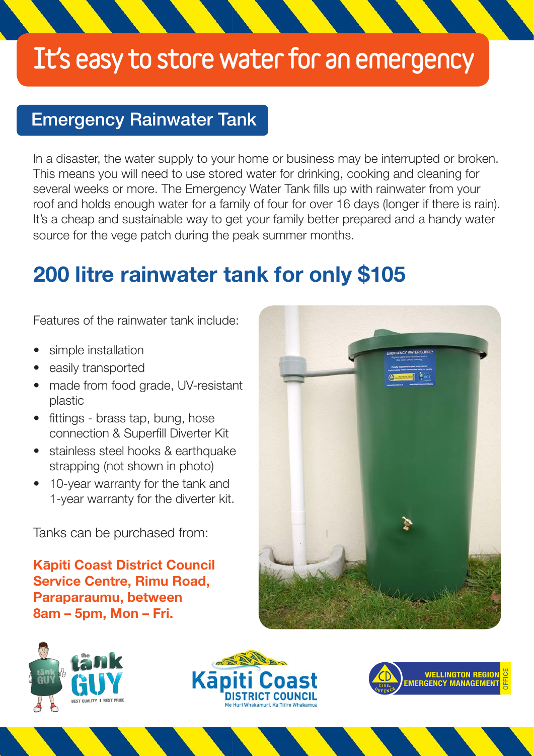## It's easy to store water for an emergency

### Emergency Rainwater Tank

In a disaster, the water supply to your home or business may be interrupted or broken. This means you will need to use stored water for drinking, cooking and cleaning for several weeks or more. The Emergency Water Tank fills up with rainwater from your roof and holds enough water for a family of four for over 16 days (longer if there is rain). It's a cheap and sustainable way to get your family better prepared and a handy water source for the vege patch during the peak summer months.

## 200 litre rainwater tank for only \$105

Features of the rainwater tank include:

- simple installation
- easily transported
- made from food grade, UV-resistant plastic
- fittings brass tap, bung, hose connection & Superfill Diverter Kit
- stainless steel hooks & earthquake strapping (not shown in photo)
- 10-year warranty for the tank and 1-year warranty for the diverter kit.

Tanks can be purchased from:

### Kapiti Coast District Council Service Centre, Rimu Road, Paraparaumu, between 8am – 5pm, Mon – Fri.